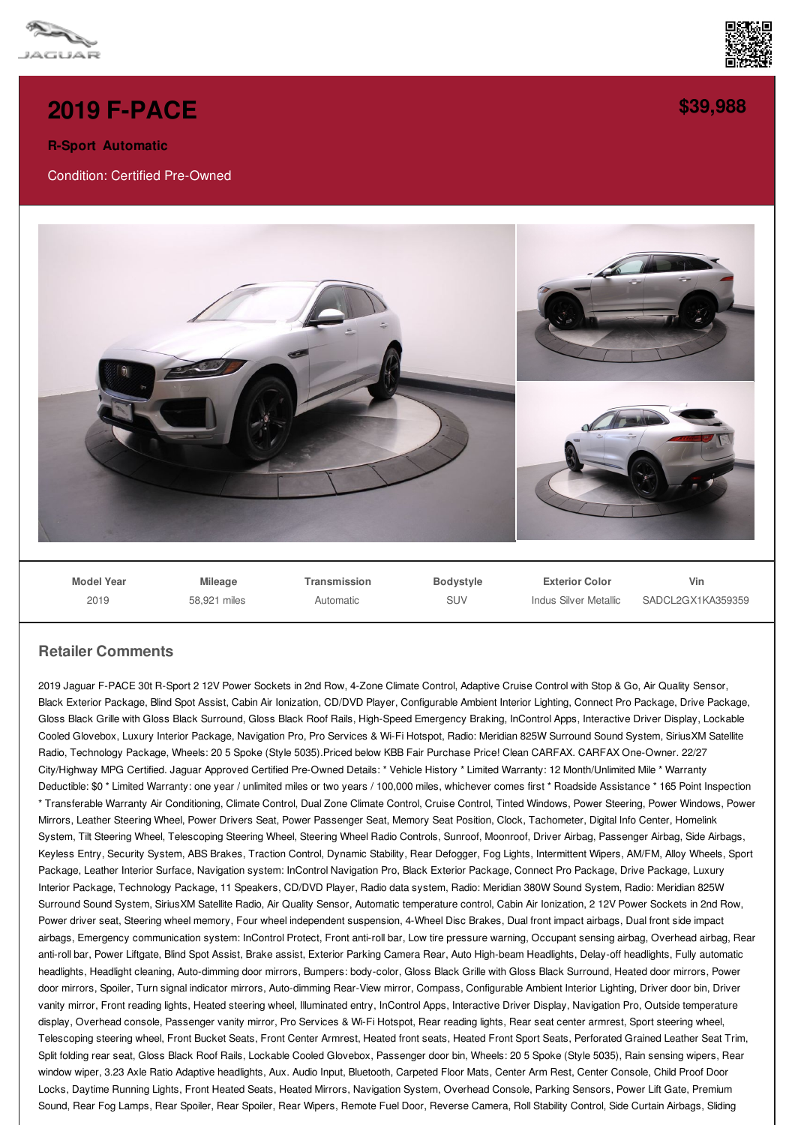



## **R-Sport Automatic**

Condition: Certified Pre-Owned



**[\\$39,988](/used-certified/pdf/)**



**Model Year** 2019

**Mileage** 58,921 miles **Transmission** Automatic

**Bodystyle** SUV

**Exterior Color** Indus Silver Metallic

**Vin** SADCL2GX1KA359359

## **Retailer Comments**

2019 Jaguar F-PACE 30t R-Sport 2 12V Power Sockets in 2nd Row, 4-Zone Climate Control, Adaptive Cruise Control with Stop & Go, Air Quality Sensor, Black Exterior Package, Blind Spot Assist, Cabin Air Ionization, CD/DVD Player, Configurable Ambient Interior Lighting, Connect Pro Package, Drive Package, Gloss Black Grille with Gloss Black Surround, Gloss Black Roof Rails, High-Speed Emergency Braking, InControl Apps, Interactive Driver Display, Lockable Cooled Glovebox, Luxury Interior Package, Navigation Pro, Pro Services & Wi-Fi Hotspot, Radio: Meridian 825W Surround Sound System, SiriusXM Satellite Radio, Technology Package, Wheels: 20 5 Spoke (Style 5035).Priced below KBB Fair Purchase Price! Clean CARFAX. CARFAX One-Owner. 22/27 City/Highway MPG Certified. Jaguar Approved Certified Pre-Owned Details: \* Vehicle History \* Limited Warranty: 12 Month/Unlimited Mile \* Warranty Deductible: \$0<sup>\*</sup> Limited Warranty: one year / unlimited miles or two years / 100,000 miles, whichever comes first \* Roadside Assistance \* 165 Point Inspection \* Transferable Warranty Air Conditioning, Climate Control, Dual Zone Climate Control, Cruise Control, Tinted Windows, Power Steering, Power Windows, Power Mirrors, Leather Steering Wheel, Power Drivers Seat, Power Passenger Seat, Memory Seat Position, Clock, Tachometer, Digital Info Center, Homelink System, Tilt Steering Wheel, Telescoping Steering Wheel, Steering Wheel Radio Controls, Sunroof, Moonroof, Driver Airbag, Passenger Airbag, Side Airbags, Keyless Entry, Security System, ABS Brakes, Traction Control, Dynamic Stability, Rear Defogger, Fog Lights, Intermittent Wipers, AM/FM, Alloy Wheels, Sport Package, Leather Interior Surface, Navigation system: InControl Navigation Pro, Black Exterior Package, Connect Pro Package, Drive Package, Luxury Interior Package, Technology Package, 11 Speakers, CD/DVD Player, Radio data system, Radio: Meridian 380W Sound System, Radio: Meridian 825W Surround Sound System, SiriusXM Satellite Radio, Air Quality Sensor, Automatic temperature control, Cabin Air Ionization, 2 12V Power Sockets in 2nd Row, Power driver seat, Steering wheel memory, Four wheel independent suspension, 4-Wheel Disc Brakes, Dual front impact airbags, Dual front side impact airbags, Emergency communication system: InControl Protect, Front anti-roll bar, Low tire pressure warning, Occupant sensing airbag, Overhead airbag, Rear anti-roll bar, Power Liftgate, Blind Spot Assist, Brake assist, Exterior Parking Camera Rear, Auto High-beam Headlights, Delay-off headlights, Fully automatic headlights, Headlight cleaning, Auto-dimming door mirrors, Bumpers: body-color, Gloss Black Grille with Gloss Black Surround, Heated door mirrors, Power door mirrors, Spoiler, Turn signal indicator mirrors, Auto-dimming Rear-View mirror, Compass, Configurable Ambient Interior Lighting, Driver door bin, Driver vanity mirror, Front reading lights, Heated steering wheel, Illuminated entry, InControl Apps, Interactive Driver Display, Navigation Pro, Outside temperature display, Overhead console, Passenger vanity mirror, Pro Services & Wi-Fi Hotspot, Rear reading lights, Rear seat center armrest, Sport steering wheel, Telescoping steering wheel, Front Bucket Seats, Front Center Armrest, Heated front seats, Heated Front Sport Seats, Perforated Grained Leather Seat Trim, Split folding rear seat, Gloss Black Roof Rails, Lockable Cooled Glovebox, Passenger door bin, Wheels: 20 5 Spoke (Style 5035), Rain sensing wipers, Rear window wiper, 3.23 Axle Ratio Adaptive headlights, Aux. Audio Input, Bluetooth, Carpeted Floor Mats, Center Arm Rest, Center Console, Child Proof Door Locks, Daytime Running Lights, Front Heated Seats, Heated Mirrors, Navigation System, Overhead Console, Parking Sensors, Power Lift Gate, Premium Sound, Rear Fog Lamps, Rear Spoiler, Rear Spoiler, Rear Wipers, Remote Fuel Door, Reverse Camera, Roll Stability Control, Side Curtain Airbags, Sliding